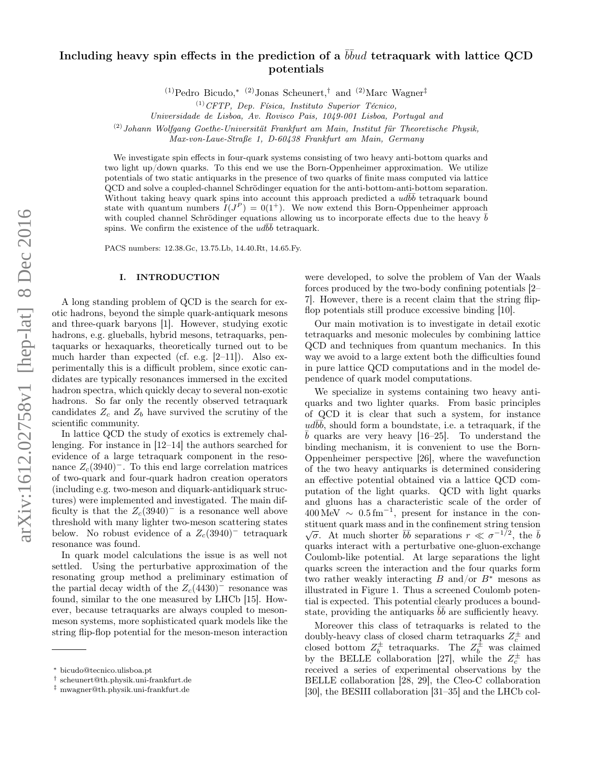# Including heavy spin effects in the prediction of a  $\bar b\bar b u d$  tetraquark with lattice QCD potentials

(1)Pedro Bicudo,<sup>\* (2)</sup>Jonas Scheunert,<sup>†</sup> and <sup>(2)</sup>Marc Wagner<sup>‡</sup>

Universidade de Lisboa, Av. Rovisco Pais, 1049-001 Lisboa, Portugal and

 $(2)$ Johann Wolfgang Goethe-Universität Frankfurt am Main, Institut für Theoretische Physik,

Max-von-Laue-Straße 1, D-60438 Frankfurt am Main, Germany

We investigate spin effects in four-quark systems consisting of two heavy anti-bottom quarks and two light up/down quarks. To this end we use the Born-Oppenheimer approximation. We utilize potentials of two static antiquarks in the presence of two quarks of finite mass computed via lattice QCD and solve a coupled-channel Schrödinger equation for the anti-bottom-anti-bottom separation. Without taking heavy quark spins into account this approach predicted a  $ud\bar{b}\bar{b}$  tetraquark bound state with quantum numbers  $I(J^P) = 0(1^+)$ . We now extend this Born-Oppenheimer approach with coupled channel Schrödinger equations allowing us to incorporate effects due to the heavy  $\bar{b}$ spins. We confirm the existence of the  $ud\bar{b}\bar{b}$  tetraquark.

PACS numbers: 12.38.Gc, 13.75.Lb, 14.40.Rt, 14.65.Fy.

#### I. INTRODUCTION

A long standing problem of QCD is the search for exotic hadrons, beyond the simple quark-antiquark mesons and three-quark baryons [1]. However, studying exotic hadrons, e.g. glueballs, hybrid mesons, tetraquarks, pentaquarks or hexaquarks, theoretically turned out to be much harder than expected (cf. e.g. [2–11]). Also experimentally this is a difficult problem, since exotic candidates are typically resonances immersed in the excited hadron spectra, which quickly decay to several non-exotic hadrons. So far only the recently observed tetraquark candidates  $Z_c$  and  $Z_b$  have survived the scrutiny of the scientific community.

In lattice QCD the study of exotics is extremely challenging. For instance in [12–14] the authors searched for evidence of a large tetraquark component in the resonance  $Z_c(3940)$ <sup>-</sup>. To this end large correlation matrices of two-quark and four-quark hadron creation operators (including e.g. two-meson and diquark-antidiquark structures) were implemented and investigated. The main difficulty is that the  $Z_c(3940)$ <sup>-</sup> is a resonance well above threshold with many lighter two-meson scattering states below. No robust evidence of a  $Z_c(3940)^-$  tetraquark resonance was found.

In quark model calculations the issue is as well not settled. Using the perturbative approximation of the resonating group method a preliminary estimation of the partial decay width of the  $Z_c(4430)$ <sup>-</sup> resonance was found, similar to the one measured by LHCb [15]. However, because tetraquarks are always coupled to mesonmeson systems, more sophisticated quark models like the string flip-flop potential for the meson-meson interaction

were developed, to solve the problem of Van der Waals forces produced by the two-body confining potentials [2– 7]. However, there is a recent claim that the string flipflop potentials still produce excessive binding [10].

Our main motivation is to investigate in detail exotic tetraquarks and mesonic molecules by combining lattice QCD and techniques from quantum mechanics. In this way we avoid to a large extent both the difficulties found in pure lattice QCD computations and in the model dependence of quark model computations.

We specialize in systems containing two heavy antiquarks and two lighter quarks. From basic principles of QCD it is clear that such a system, for instance  $ud\overline{b}\overline{b}$ , should form a boundstate, i.e. a tetraquark, if the  $\bar{b}$  quarks are very heavy [16–25]. To understand the binding mechanism, it is convenient to use the Born-Oppenheimer perspective [26], where the wavefunction of the two heavy antiquarks is determined considering an effective potential obtained via a lattice QCD computation of the light quarks. QCD with light quarks and gluons has a characteristic scale of the order of  $400 \,\mathrm{MeV} \sim 0.5 \,\mathrm{fm}^{-1}$ , present for instance in the constituent quark mass and in the confinement string tension stituent quark mass and in the commement string tension  $\sqrt{\sigma}$ . At much shorter  $b\bar{b}$  separations  $r \ll \sigma^{-1/2}$ , the  $\bar{b}$ quarks interact with a perturbative one-gluon-exchange Coulomb-like potential. At large separations the light quarks screen the interaction and the four quarks form two rather weakly interacting B and/or  $B^*$  mesons as illustrated in Figure 1. Thus a screened Coulomb potential is expected. This potential clearly produces a boundstate, providing the antiquarks  $b\bar{b}$  are sufficiently heavy.

Moreover this class of tetraquarks is related to the doubly-heavy class of closed charm tetraquarks  $Z_c^{\pm}$  and closed bottom  $Z_b^{\pm}$  tetraquarks. The  $Z_b^{\pm}$  was claimed by the BELLE collaboration [27], while the  $Z_c^{\pm}$  has received a series of experimental observations by the BELLE collaboration [28, 29], the Cleo-C collaboration [30], the BESIII collaboration [31–35] and the LHCb col-

 $^{(1)}CFTP$ , Dep. Física, Instituto Superior Técnico,

<sup>∗</sup> bicudo@tecnico.ulisboa.pt

<sup>†</sup> scheunert@th.physik.uni-frankfurt.de

<sup>‡</sup> mwagner@th.physik.uni-frankfurt.de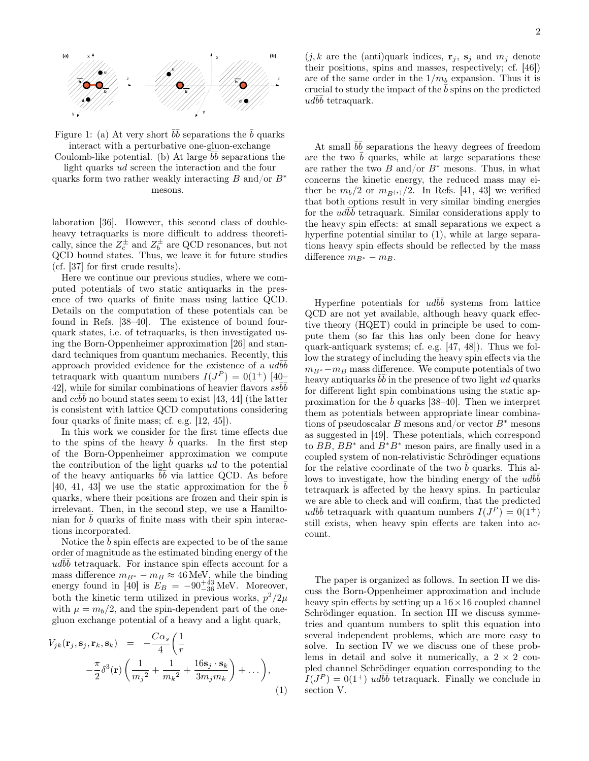

Figure 1: (a) At very short  $b\bar{b}$  separations the  $\bar{b}$  quarks interact with a perturbative one-gluon-exchange

Coulomb-like potential. (b) At large  $\overline{b}\overline{b}$  separations the light quarks ud screen the interaction and the four

quarks form two rather weakly interacting B and/or  $B^*$ mesons.

laboration [36]. However, this second class of doubleheavy tetraquarks is more difficult to address theoretically, since the  $Z_c^{\pm}$  and  $Z_b^{\pm}$  are QCD resonances, but not QCD bound states. Thus, we leave it for future studies (cf. [37] for first crude results).

Here we continue our previous studies, where we computed potentials of two static antiquarks in the presence of two quarks of finite mass using lattice QCD. Details on the computation of these potentials can be found in Refs. [38–40]. The existence of bound fourquark states, i.e. of tetraquarks, is then investigated using the Born-Oppenheimer approximation [26] and standard techniques from quantum mechanics. Recently, this approach provided evidence for the existence of a  $\overline{u}d\overline{b}\overline{b}$ tetraquark with quantum numbers  $I(J^P) = 0(1^+)$  [40– 42, while for similar combinations of heavier flavors  $s s\bar{b}\bar{b}$ and  $cc\bar{b}\bar{b}$  no bound states seem to exist [43, 44] (the latter is consistent with lattice QCD computations considering four quarks of finite mass; cf. e.g. [12, 45]).

In this work we consider for the first time effects due to the spins of the heavy  $b$  quarks. In the first step of the Born-Oppenheimer approximation we compute the contribution of the light quarks ud to the potential of the heavy antiquarks  $\overline{b}\overline{b}$  via lattice QCD. As before [40, 41, 43] we use the static approximation for the  $\bar{b}$ quarks, where their positions are frozen and their spin is irrelevant. Then, in the second step, we use a Hamiltonian for  $b$  quarks of finite mass with their spin interactions incorporated.

Notice the  $b$  spin effects are expected to be of the same order of magnitude as the estimated binding energy of the  $ud\overrightarrow{bb}$  tetraquark. For instance spin effects account for a mass difference  $m_{B^*} - m_B \approx 46$  MeV, while the binding energy found in [40] is  $E_B = -90^{+43}_{-36}$  MeV. Moreover, both the kinetic term utilized in previous works,  $p^2/2\mu$ with  $\mu = m_b/2$ , and the spin-dependent part of the onegluon exchange potential of a heavy and a light quark,

$$
V_{jk}(\mathbf{r}_j, \mathbf{s}_j, \mathbf{r}_k, \mathbf{s}_k) = -\frac{C\alpha_s}{4} \left( \frac{1}{r} - \frac{\pi}{2} \delta^3(\mathbf{r}) \left( \frac{1}{m_j^2} + \frac{1}{m_k^2} + \frac{16\mathbf{s}_j \cdot \mathbf{s}_k}{3m_j m_k} \right) + \dots \right),
$$
\n(1)

 $(j, k$  are the (anti)quark indices,  $\mathbf{r}_i$ ,  $\mathbf{s}_i$  and  $m_i$  denote their positions, spins and masses, respectively; cf. [46]) are of the same order in the  $1/m_b$  expansion. Thus it is crucial to study the impact of the  $\bar{b}$  spins on the predicted  $ud\bar{b}\bar{b}$  tetraquark.

At small  $b\bar{b}$  separations the heavy degrees of freedom are the two  $\bar{b}$  quarks, while at large separations these are rather the two B and/or  $B^*$  mesons. Thus, in what concerns the kinetic energy, the reduced mass may either be  $m_b/2$  or  $m_{B(*)}/2$ . In Refs. [41, 43] we verified that both options result in very similar binding energies for the  $ud\overline{b}\overline{b}$  tetraquark. Similar considerations apply to the heavy spin effects: at small separations we expect a hyperfine potential similar to  $(1)$ , while at large separations heavy spin effects should be reflected by the mass difference  $m_{B^*} - m_B$ .

Hyperfine potentials for  $ud\overline{b}\overline{b}$  systems from lattice QCD are not yet available, although heavy quark effective theory (HQET) could in principle be used to compute them (so far this has only been done for heavy quark-antiquark systems; cf. e.g. [47, 48]). Thus we follow the strategy of including the heavy spin effects via the  $m_{B<sup>*</sup>}-m_B$  mass difference. We compute potentials of two heavy antiquarks  $b\bar{b}$  in the presence of two light ud quarks for different light spin combinations using the static approximation for the  $\bar{b}$  quarks [38–40]. Then we interpret them as potentials between appropriate linear combinations of pseudoscalar B mesons and/or vector  $B^*$  mesons as suggested in [49]. These potentials, which correspond to  $BB$ ,  $BB^*$  and  $B^*B^*$  meson pairs, are finally used in a coupled system of non-relativistic Schrödinger equations for the relative coordinate of the two  $b$  quarks. This allows to investigate, how the binding energy of the  $ud\bar{b}\bar{b}$ tetraquark is affected by the heavy spins. In particular we are able to check and will confirm, that the predicted ud $b\bar{b}$  tetraquark with quantum numbers  $I(J^P) = 0(1^+)$ still exists, when heavy spin effects are taken into account.

The paper is organized as follows. In section II we discuss the Born-Oppenheimer approximation and include heavy spin effects by setting up a  $16 \times 16$  coupled channel Schrödinger equation. In section III we discuss symmetries and quantum numbers to split this equation into several independent problems, which are more easy to solve. In section IV we we discuss one of these problems in detail and solve it numerically, a  $2 \times 2$  coupled channel Schrödinger equation corresponding to the  $I(J^P) = 0(1^+)$  ud $b\bar{b}$  tetraquark. Finally we conclude in section V.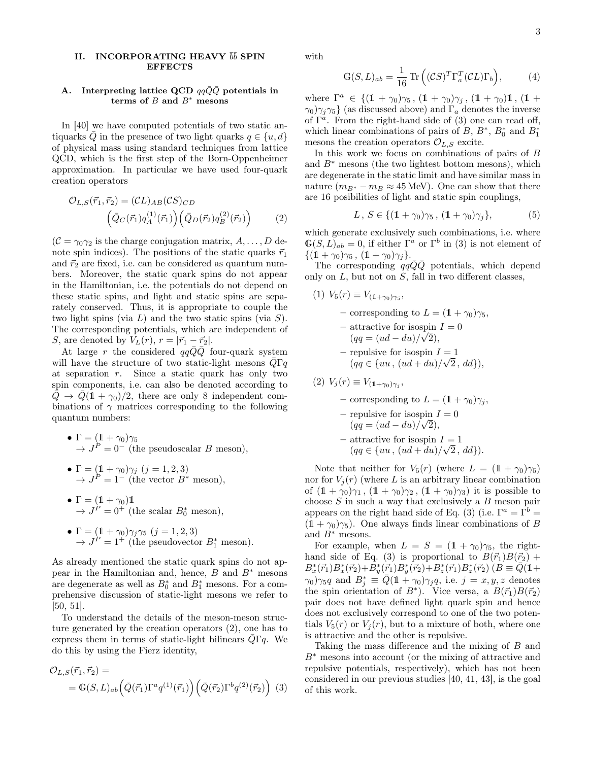# II. INCORPORATING HEAVY  $\bar{b}\bar{b}$  SPIN **EFFECTS**

## A. Interpreting lattice QCD  $qq\bar{Q}\bar{Q}$  potentials in terms of  $B$  and  $B^*$  mesons

In [40] we have computed potentials of two static antiquarks  $\overline{Q}$  in the presence of two light quarks  $q \in \{u, d\}$ of physical mass using standard techniques from lattice QCD, which is the first step of the Born-Oppenheimer approximation. In particular we have used four-quark creation operators

$$
\mathcal{O}_{L,S}(\vec{r}_1, \vec{r}_2) = (\mathcal{C}L)_{AB}(\mathcal{C}S)_{CD} \n\left(\bar{Q}_C(\vec{r}_1)q_A^{(1)}(\vec{r}_1)\right)\left(\bar{Q}_D(\vec{r}_2)q_B^{(2)}(\vec{r}_2)\right)
$$
\n(2)

 $(C = \gamma_0 \gamma_2)$  is the charge conjugation matrix,  $A, \ldots, D$  denote spin indices). The positions of the static quarks  $\vec{r}_1$ and  $\vec{r}_2$  are fixed, i.e. can be considered as quantum numbers. Moreover, the static quark spins do not appear in the Hamiltonian, i.e. the potentials do not depend on these static spins, and light and static spins are separately conserved. Thus, it is appropriate to couple the two light spins (via  $L$ ) and the two static spins (via  $S$ ). The corresponding potentials, which are independent of S, are denoted by  $V_L(r)$ ,  $r = |\vec{r}_1 - \vec{r}_2|$ .

At large r the considered  $qqQQ$  four-quark system will have the structure of two static-light mesons  $\overline{Q}\Gamma q$ at separation  $r$ . Since a static quark has only two spin components, i.e. can also be denoted according to  $\overline{Q} \rightarrow \overline{Q}(1+\gamma_0)/2$ , there are only 8 independent combinations of  $\gamma$  matrices corresponding to the following quantum numbers:

- $\Gamma = (1 + \gamma_0)\gamma_5$  $\rightarrow J^P = 0^-$  (the pseudoscalar B meson),
- $\Gamma = (1 + \gamma_0)\gamma_j \ (j = 1, 2, 3)$  $\rightarrow J^P = 1^-$  (the vector  $B^*$  meson),
- $\Gamma = (1 + \gamma_0)1$  $\rightarrow J^P = 0^+$  (the scalar  $B_0^*$  meson),
- $\Gamma = (1 + \gamma_0) \gamma_j \gamma_5$   $(j = 1, 2, 3)$  $\rightarrow J^P = 1^+$  (the pseudovector  $B_1^*$  meson).

As already mentioned the static quark spins do not appear in the Hamiltonian and, hence,  $B$  and  $B^*$  mesons are degenerate as well as  $B_0^*$  and  $B_1^*$  mesons. For a comprehensive discussion of static-light mesons we refer to [50, 51].

To understand the details of the meson-meson structure generated by the creation operators (2), one has to express them in terms of static-light bilinears  $\overline{Q}\Gamma q$ . We do this by using the Fierz identity,

$$
\mathcal{O}_{L,S}(\vec{r}_1, \vec{r}_2) =
$$
  
=  $\mathbb{G}(S, L)_{ab} \Big( \bar{Q}(\vec{r}_1) \Gamma^a q^{(1)}(\vec{r}_1) \Big) \Big( \bar{Q}(\vec{r}_2) \Gamma^b q^{(2)}(\vec{r}_2) \Big)$  (3)

with

$$
\mathbb{G}(S, L)_{ab} = \frac{1}{16} \operatorname{Tr} \left( (\mathcal{C}S)^T \Gamma_a^T (\mathcal{C}L) \Gamma_b \right), \tag{4}
$$

where  $\Gamma^a \in \{(\mathbb{1} + \gamma_0)\gamma_5, (\mathbb{1} + \gamma_0)\gamma_j, (\mathbb{1} + \gamma_0)\mathbb{1}, (\mathbb{1} + \gamma_0)\gamma_5, (\mathbb{1} + \gamma_0)\gamma_5, (\mathbb{1} + \gamma_0)\gamma_5, (\mathbb{1} + \gamma_0)\gamma_5, (\mathbb{1} + \gamma_0)\gamma_5, (\mathbb{1} + \gamma_0)\gamma_5, (\mathbb{1} + \gamma_0)\gamma_5, (\mathbb{1} + \gamma_0)\gamma_5, (\mathbb{1} + \gamma_0)\gamma_5, (\mathbb{1} + \gamma_0)\gamma_$  $\gamma_0$ ) $\gamma_j \gamma_5$ } (as discussed above) and  $\Gamma_a$  denotes the inverse of  $\Gamma^a$ . From the right-hand side of (3) one can read off, which linear combinations of pairs of  $B, B^*, B_0^*$  and  $B_1^*$ mesons the creation operators  $\mathcal{O}_{L,S}$  excite.

In this work we focus on combinations of pairs of B and  $B^*$  mesons (the two lightest bottom mesons), which are degenerate in the static limit and have similar mass in nature  $(m_{B^*} - m_B \approx 45 \text{ MeV})$ . One can show that there are 16 posibilities of light and static spin couplings,

$$
L, S \in \{ (\mathbb{1} + \gamma_0) \gamma_5, (\mathbb{1} + \gamma_0) \gamma_j \},
$$
 (5)

which generate exclusively such combinations, i.e. where  $\mathbb{G}(S, L)_{ab} = 0$ , if either  $\Gamma^a$  or  $\Gamma^b$  in (3) is not element of  $\{(\mathbb{1} + \gamma_0)\gamma_5, (\mathbb{1} + \gamma_0)\gamma_i\}.$ 

The corresponding  $qq\bar{Q}\bar{Q}$  potentials, which depend only on  $L$ , but not on  $S$ , fall in two different classes,

(1)  $V_5(r) \equiv V_{(1+\gamma_0)\gamma_5}$ , – corresponding to  $L = (1 + \gamma_0)\gamma_5$ ,  $\overline{I} = 0$  attractive for isospin  $I = 0$  $(qq = (ud - du)/\sqrt{2}),$ – repulsive for isospin  $I = 1$  $(qq \in \{uu, (ud+du)/\sqrt{2}, dd\}),$ (2)  $V_j(r) \equiv V_{(1+\gamma_0)\gamma_j},$ – corresponding to  $L = (1 + \gamma_0)\gamma_i$ .

$$
- repulsive for isospin I = 0
$$
  
\n
$$
(qq = (ud - du)/\sqrt{2}),
$$
  
\n- attractive for isospin I = 1  
\n
$$
(qq \in \{uu, (ud + du)/\sqrt{2}, dd\}).
$$

Note that neither for  $V_5(r)$  (where  $L = (1 + \gamma_0)\gamma_5$ ) nor for  $V_j(r)$  (where L is an arbitrary linear combination of  $(1 + \gamma_0)\gamma_1$ ,  $(1 + \gamma_0)\gamma_2$ ,  $(1 + \gamma_0)\gamma_3$ ) it is possible to choose  $S$  in such a way that exclusively a  $B$  meson pair appears on the right hand side of Eq. (3) (i.e.  $\Gamma^a = \Gamma^b =$  $(1 + \gamma_0)\gamma_5$ ). One always finds linear combinations of B and  $B^*$  mesons.

For example, when  $L = S = (1 + \gamma_0)\gamma_5$ , the righthand side of Eq. (3) is proportional to  $B(\vec{r_1})B(\vec{r_2})$  +  $B_{x}^{*}(\vec{r}_{1})B_{x}^{*}(\vec{r}_{2})+B_{y}^{*}(\vec{r}_{1})B_{y}^{*}(\vec{r}_{2})+B_{z}^{*}(\vec{r}_{1})B_{z}^{*}(\vec{r}_{2}) \ (B \equiv \bar{Q}(1+$  $(\gamma_0)\gamma_5q$  and  $B_j^* \equiv \overline{Q}(1+\gamma_0)\gamma_jq$ , i.e.  $j = x, y, z$  denotes the spin orientation of  $B^*$ ). Vice versa, a  $B(\vec{r}_1)B(\vec{r}_2)$ pair does not have defined light quark spin and hence does not exclusively correspond to one of the two potentials  $V_5(r)$  or  $V_i(r)$ , but to a mixture of both, where one is attractive and the other is repulsive.

Taking the mass difference and the mixing of B and B<sup>∗</sup> mesons into account (or the mixing of attractive and repulsive potentials, respectively), which has not been considered in our previous studies [40, 41, 43], is the goal of this work.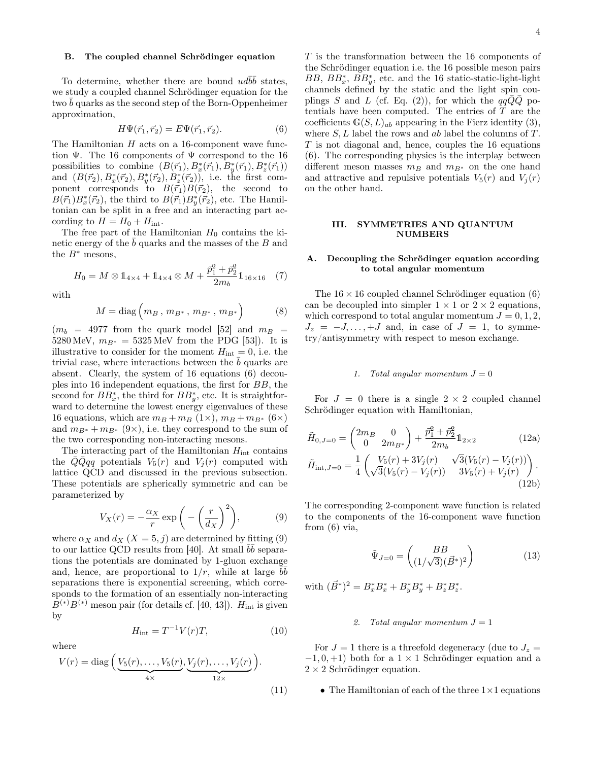#### B. The coupled channel Schrödinger equation

To determine, whether there are bound  $ud\bar{b}\bar{b}$  states, we study a coupled channel Schrödinger equation for the two  $b$  quarks as the second step of the Born-Oppenheimer approximation,

$$
H\Psi(\vec{r}_1, \vec{r}_2) = E\Psi(\vec{r}_1, \vec{r}_2). \tag{6}
$$

The Hamiltonian  $H$  acts on a 16-component wave function  $\Psi$ . The 16 components of  $\Psi$  correspond to the 16 possibilities to combine  $(B(\vec{r}_1), B_x^*(\vec{r}_1), B_y^*(\vec{r}_1), B_z^*(\vec{r}_1))$ and  $(B(\vec{r}_2), B_x^*(\vec{r}_2), B_y^*(\vec{r}_2), B_z^*(\vec{r}_2))$ , i.e. the first component corresponds to  $B(\vec{r}_1)B(\vec{r}_2)$ , the second to  $B(\vec{r}_1)B_x^*(\vec{r}_2)$ , the third to  $B(\vec{r}_1)B_y^*(\vec{r}_2)$ , etc. The Hamiltonian can be split in a free and an interacting part according to  $H = H_0 + H_{\text{int}}$ .

The free part of the Hamiltonian  $H_0$  contains the kinetic energy of the  $\overline{b}$  quarks and the masses of the B and the  $B^*$  mesons,

$$
H_0 = M \otimes 1_{4 \times 4} + 1_{4 \times 4} \otimes M + \frac{\vec{p}_1^2 + \vec{p}_2^2}{2m_b} 1_{16 \times 16} \quad (7)
$$

with

$$
M = \text{diag}\left(m_B, m_{B^*}, m_{B^*}, m_{B^*}\right) \tag{8}
$$

 $(m_b = 4977 \text{ from the quark model } [52] \text{ and } m_B =$ 5280 MeV,  $m_{B^*} = 5325$  MeV from the PDG [53]). It is illustrative to consider for the moment  $H_{\text{int}} = 0$ , i.e. the trivial case, where interactions between the  $b$  quarks are absent. Clearly, the system of 16 equations (6) decouples into 16 independent equations, the first for BB, the second for  $BB_x^*$ , the third for  $BB_y^*$ , etc. It is straightforward to determine the lowest energy eigenvalues of these 16 equations, which are  $m_B + m_B$  (1×),  $m_B + m_{B^*}$  (6×) and  $m_{B^*} + m_{B^*}$  (9×), i.e. they correspond to the sum of the two corresponding non-interacting mesons.

The interacting part of the Hamiltonian  $H_{\text{int}}$  contains the  $\overline{Q}q\overline{q}q$  potentials  $V_5(r)$  and  $V_j(r)$  computed with lattice QCD and discussed in the previous subsection. These potentials are spherically symmetric and can be parameterized by

$$
V_X(r) = -\frac{\alpha_X}{r} \exp\bigg(-\bigg(\frac{r}{d_X}\bigg)^2\bigg),\tag{9}
$$

where  $\alpha_X$  and  $d_X$   $(X = 5, j)$  are determined by fitting (9) to our lattice QCD results from [40]. At small  $b\bar{b}$  separations the potentials are dominated by 1-gluon exchange and, hence, are proportional to  $1/r$ , while at large  $\overline{b}$ separations there is exponential screening, which corresponds to the formation of an essentially non-interacting  $B^{(*)}B^{(*)}$  meson pair (for details cf. [40, 43]).  $H_{\text{int}}$  is given by

$$
H_{\rm int} = T^{-1}V(r)T,\tag{10}
$$

where

$$
V(r) = \text{diag}\left(\underbrace{V_5(r), \dots, V_5(r)}_{4 \times}, \underbrace{V_j(r), \dots, V_j(r)}_{12 \times}\right).
$$
\n(11)

T is the transformation between the 16 components of the Schrödinger equation i.e. the 16 possible meson pairs  $BB, BB_x^*, BB_y^*$ , etc. and the 16 static-static-light-light channels defined by the static and the light spin couplings S and L (cf. Eq. (2)), for which the  $qqQQ$  potentials have been computed. The entries of  $T$  are the coefficients  $\mathbb{G}(S, L)_{ab}$  appearing in the Fierz identity (3), where  $S, L$  label the rows and ab label the columns of T.  $T$  is not diagonal and, hence, couples the 16 equations (6). The corresponding physics is the interplay between different meson masses  $m_B$  and  $m_{B*}$  on the one hand and attractive and repulsive potentials  $V_5(r)$  and  $V_1(r)$ on the other hand.

#### III. SYMMETRIES AND QUANTUM NUMBERS

# A. Decoupling the Schrödinger equation according to total angular momentum

The  $16 \times 16$  coupled channel Schrödinger equation (6) can be decoupled into simpler  $1 \times 1$  or  $2 \times 2$  equations, which correspond to total angular momentum  $J = 0, 1, 2$ ,  $J_z = -J, \ldots, +J$  and, in case of  $J = 1$ , to symmetry/antisymmetry with respect to meson exchange.

#### 1. Total angular momentum  $J = 0$

For  $J = 0$  there is a single  $2 \times 2$  coupled channel Schrödinger equation with Hamiltonian,

$$
\tilde{H}_{0,J=0} = \begin{pmatrix} 2m_B & 0 \\ 0 & 2m_{B^*} \end{pmatrix} + \frac{\bar{p}_1^2 + \bar{p}_2^2}{2m_b} \mathbb{1}_{2 \times 2}
$$
\n
$$
\tilde{H}_{int,J=0} = \frac{1}{4} \begin{pmatrix} V_5(r) + 3V_j(r) & \sqrt{3}(V_5(r) - V_j(r)) \\ \sqrt{3}(V_5(r) - V_j(r)) & 3V_5(r) + V_j(r) \end{pmatrix}.
$$
\n(12b)

The corresponding 2-component wave function is related to the components of the 16-component wave function from (6) via,

$$
\tilde{\Psi}_{J=0} = \begin{pmatrix} BB \\ (1/\sqrt{3})(\vec{B}^*)^2 \end{pmatrix}
$$
 (13)

with  $(\vec{B}^*)^2 = B_x^* B_x^* + B_y^* B_y^* + B_z^* B_z^*.$ 

#### 2. Total angular momentum  $J = 1$

For  $J = 1$  there is a threefold degeneracy (due to  $J_z =$  $-1, 0, +1$ ) both for a 1 × 1 Schrödinger equation and a  $2 \times 2$  Schrödinger equation.

• The Hamiltonian of each of the three  $1\times1$  equations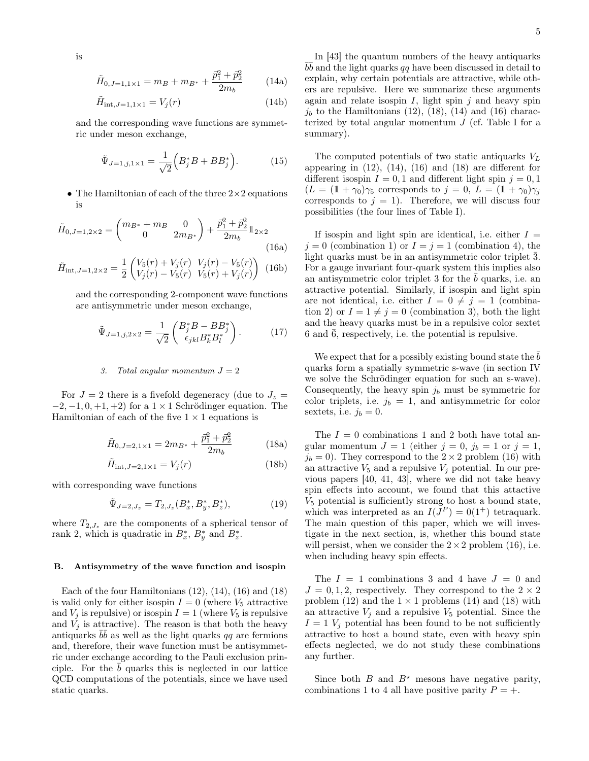is

$$
\tilde{H}_{0,J=1,1\times1} = m_B + m_{B^*} + \frac{\bar{p}_1^2 + \bar{p}_2^2}{2m_b} \tag{14a}
$$

$$
\tilde{H}_{\text{int},J=1,1\times1} = V_j(r) \tag{14b}
$$

and the corresponding wave functions are symmetric under meson exchange,

$$
\tilde{\Psi}_{J=1,j,1\times1} = \frac{1}{\sqrt{2}} \Big( B_j^* B + B B_j^* \Big). \tag{15}
$$

• The Hamiltonian of each of the three  $2\times 2$  equations is

$$
\tilde{H}_{0,J=1,2\times2} = \begin{pmatrix} m_{B^*} + m_B & 0\\ 0 & 2m_{B^*} \end{pmatrix} + \frac{\vec{p}_1^2 + \vec{p}_2^2}{2m_b} \mathbb{1}_{2\times2}
$$
\n(16a)\n
$$
\tilde{H}_{int,J=1,2\times2} = \frac{1}{2} \begin{pmatrix} V_5(r) + V_j(r) & V_j(r) - V_5(r) \\ V_r(r) & V_r(r) + V_r(r) \end{pmatrix} \tag{16b}
$$

$$
H_{\text{int},J=1,2\times 2} = \frac{1}{2} \begin{pmatrix} v_3(r) + v_3(r) & v_3(r) & v_3(r) \\ V_j(r) - V_5(r) & V_5(r) + V_j(r) \end{pmatrix} (16b)
$$

and the corresponding 2-component wave functions are antisymmetric under meson exchange,

$$
\tilde{\Psi}_{J=1,j,2\times 2} = \frac{1}{\sqrt{2}} \begin{pmatrix} B_j^* B - B B_j^* \\ \epsilon_{jkl} B_k^* B_l^* \end{pmatrix} . \tag{17}
$$

### 3. Total angular momentum  $J = 2$

For  $J = 2$  there is a fivefold degeneracy (due to  $J_z =$  $-2, -1, 0, +1, +2$  for a  $1 \times 1$  Schrödinger equation. The Hamiltonian of each of the five  $1 \times 1$  equations is

$$
\tilde{H}_{0,J=2,1\times1} = 2m_{B^*} + \frac{\vec{p}_1^2 + \vec{p}_2^2}{2m_b} \tag{18a}
$$

$$
\tilde{H}_{\text{int},J=2,1\times1} = V_j(r) \tag{18b}
$$

with corresponding wave functions

$$
\tilde{\Psi}_{J=2,J_z} = T_{2,J_z}(B_x^*, B_y^*, B_z^*),\tag{19}
$$

where  $T_{2,J_z}$  are the components of a spherical tensor of rank 2, which is quadratic in  $B_x^*, B_y^*$  and  $B_z^*$ .

## B. Antisymmetry of the wave function and isospin

Each of the four Hamiltonians  $(12)$ ,  $(14)$ ,  $(16)$  and  $(18)$ is valid only for either isospin  $I = 0$  (where  $V_5$  attractive and  $V_j$  is repulsive) or isospin  $I = 1$  (where  $V_5$  is repulsive and  $V_i$  is attractive). The reason is that both the heavy antiquarks  $b\bar{b}$  as well as the light quarks qq are fermions and, therefore, their wave function must be antisymmetric under exchange according to the Pauli exclusion principle. For the  $b$  quarks this is neglected in our lattice QCD computations of the potentials, since we have used static quarks.

In [43] the quantum numbers of the heavy antiquarks  $b\bar{b}$  and the light quarks qq have been discussed in detail to explain, why certain potentials are attractive, while others are repulsive. Here we summarize these arguments again and relate isospin  $I$ , light spin  $j$  and heavy spin  $j_b$  to the Hamiltonians (12), (18), (14) and (16) characterized by total angular momentum  $J$  (cf. Table I for a summary).

The computed potentials of two static antiquarks  $V<sub>L</sub>$ appearing in  $(12)$ ,  $(14)$ ,  $(16)$  and  $(18)$  are different for different isospin  $I = 0, 1$  and different light spin  $j = 0, 1$  $(L = (1 + \gamma_0)\gamma_5$  corresponds to  $j = 0, L = (1 + \gamma_0)\gamma_i$ corresponds to  $j = 1$ ). Therefore, we will discuss four possibilities (the four lines of Table I).

If isospin and light spin are identical, i.e. either  $I =$  $j = 0$  (combination 1) or  $I = j = 1$  (combination 4), the light quarks must be in an antisymmetric color triplet  $\overline{3}$ . For a gauge invariant four-quark system this implies also an antisymmetric color triplet 3 for the  $\bar{b}$  quarks, i.e. an attractive potential. Similarly, if isospin and light spin are not identical, i.e. either  $I = 0 \neq j = 1$  (combination 2) or  $I = 1 \neq j = 0$  (combination 3), both the light and the heavy quarks must be in a repulsive color sextet 6 and  $\bar{6}$ , respectively, i.e. the potential is repulsive.

We expect that for a possibly existing bound state the  $\bar{b}$ quarks form a spatially symmetric s-wave (in section IV we solve the Schrödinger equation for such an s-wave). Consequently, the heavy spin  $j_b$  must be symmetric for color triplets, i.e.  $j_b = 1$ , and antisymmetric for color sextets, i.e.  $j_b = 0$ .

The  $I = 0$  combinations 1 and 2 both have total angular momentum  $J = 1$  (either  $j = 0$ ,  $j_b = 1$  or  $j = 1$ ,  $j_b = 0$ ). They correspond to the  $2 \times 2$  problem (16) with an attractive  $V_5$  and a repulsive  $V_j$  potential. In our previous papers [40, 41, 43], where we did not take heavy spin effects into account, we found that this attactive  $V<sub>5</sub>$  potential is sufficiently strong to host a bound state, which was interpreted as an  $I(J^P) = 0(1^+)$  tetraquark. The main question of this paper, which we will investigate in the next section, is, whether this bound state will persist, when we consider the  $2 \times 2$  problem (16), i.e. when including heavy spin effects.

The  $I = 1$  combinations 3 and 4 have  $J = 0$  and  $J = 0, 1, 2$ , respectively. They correspond to the  $2 \times 2$ problem (12) and the  $1 \times 1$  problems (14) and (18) with an attractive  $V_j$  and a repulsive  $V_5$  potential. Since the  $I = 1$   $V_j$  potential has been found to be not sufficiently attractive to host a bound state, even with heavy spin effects neglected, we do not study these combinations any further.

Since both B and  $B^*$  mesons have negative parity, combinations 1 to 4 all have positive parity  $P = +$ .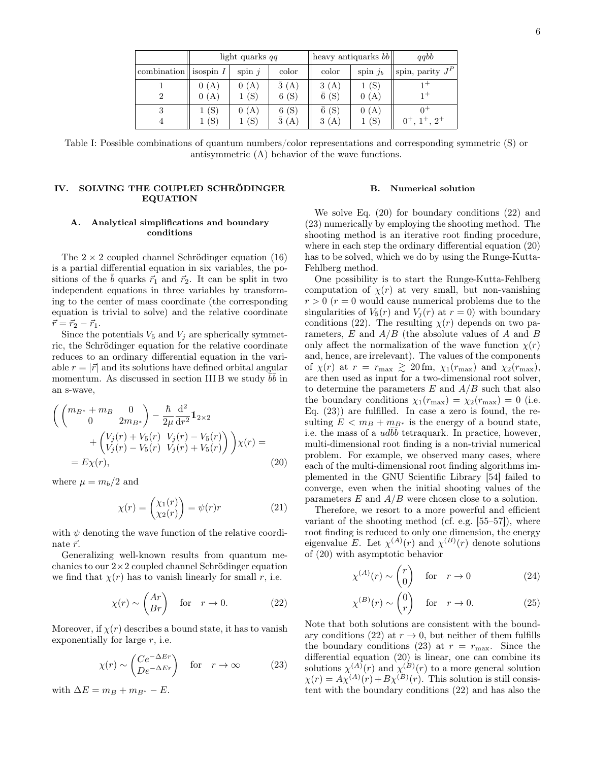|                                   | light quarks qq |              |                      | heavy antiquarks $\overline{b}\overline{b}$ |              | qqbb                               |
|-----------------------------------|-----------------|--------------|----------------------|---------------------------------------------|--------------|------------------------------------|
| combination $\parallel$ isospin I |                 | spin $i$     | color                | color                                       | spin $ib$    | $\text{Ispin}, \text{parity } J^P$ |
| 2                                 | 0(A)<br>0(A)    | 0(A)<br>1(S) | $\bar{3}(A)$<br>6(S) | 3(A)<br>$\bar{6}$ (S)                       | 1(S)<br>0(A) |                                    |
| 3<br>4                            | (S)<br>(S)      | 0(A)<br>1(S) | 6(S)<br>$\bar{3}(A)$ | $\bar{6}$ (S)<br>3(A)                       | 0(A)<br>1(S) | $2^{+}$                            |

Table I: Possible combinations of quantum numbers/color representations and corresponding symmetric (S) or antisymmetric (A) behavior of the wave functions.

# IV. SOLVING THE COUPLED SCHRÖDINGER EQUATION

## A. Analytical simplifications and boundary conditions

The  $2 \times 2$  coupled channel Schrödinger equation (16) is a partial differential equation in six variables, the positions of the  $\bar{b}$  quarks  $\vec{r}_1$  and  $\vec{r}_2$ . It can be split in two independent equations in three variables by transforming to the center of mass coordinate (the corresponding equation is trivial to solve) and the relative coordinate  $\vec{r} = \vec{r}_2 - \vec{r}_1.$ 

Since the potentials  $V_5$  and  $V_j$  are spherically symmetric, the Schrödinger equation for the relative coordinate reduces to an ordinary differential equation in the variable  $r = |\vec{r}|$  and its solutions have defined orbital angular momentum. As discussed in section III B we study  $\bar{b}\bar{b}$  in an s-wave,

$$
\begin{aligned}\n\left( \begin{pmatrix} m_{B^*} + m_B & 0\\ 0 & 2m_{B^*} \end{pmatrix} - \frac{\hbar}{2\mu} \frac{d^2}{dr^2} \mathbb{1}_{2 \times 2} \\
&+ \begin{pmatrix} V_j(r) + V_5(r) & V_j(r) - V_5(r) \\ V_j(r) - V_5(r) & V_j(r) + V_5(r) \end{pmatrix} \right) \chi(r) = \\
&= E\chi(r),\n\end{aligned} \tag{20}
$$

where  $\mu = m_b/2$  and

$$
\chi(r) = \begin{pmatrix} \chi_1(r) \\ \chi_2(r) \end{pmatrix} = \psi(r)r \tag{21}
$$

with  $\psi$  denoting the wave function of the relative coordinate  $\vec{r}$ .

Generalizing well-known results from quantum mechanics to our  $2\times 2$  coupled channel Schrödinger equation we find that  $\chi(r)$  has to vanish linearly for small r, i.e.

$$
\chi(r) \sim \begin{pmatrix} Ar \\ Br \end{pmatrix} \quad \text{for} \quad r \to 0. \tag{22}
$$

Moreover, if  $\chi(r)$  describes a bound state, it has to vanish exponentially for large  $r$ , i.e.

$$
\chi(r) \sim \begin{pmatrix} Ce^{-\Delta Er} \\ De^{-\Delta Er} \end{pmatrix} \quad \text{for} \quad r \to \infty \tag{23}
$$

with  $\Delta E = m_B + m_{\bar{B}^*} - E$ .

## B. Numerical solution

We solve Eq. (20) for boundary conditions (22) and (23) numerically by employing the shooting method. The shooting method is an iterative root finding procedure, where in each step the ordinary differential equation (20) has to be solved, which we do by using the Runge-Kutta-Fehlberg method.

One possibility is to start the Runge-Kutta-Fehlberg computation of  $\chi(r)$  at very small, but non-vanishing  $r > 0$  ( $r = 0$  would cause numerical problems due to the singularities of  $V_5(r)$  and  $V_i(r)$  at  $r = 0$ ) with boundary conditions (22). The resulting  $\chi(r)$  depends on two parameters,  $E$  and  $A/B$  (the absolute values of A and B only affect the normalization of the wave function  $\chi(r)$ and, hence, are irrelevant). The values of the components of  $\chi(r)$  at  $r = r_{\text{max}} \gtrsim 20 \text{ fm}, \chi_1(r_{\text{max}})$  and  $\chi_2(r_{\text{max}})$ , are then used as input for a two-dimensional root solver, to determine the parameters  $E$  and  $A/B$  such that also the boundary conditions  $\chi_1(r_{\text{max}}) = \chi_2(r_{\text{max}}) = 0$  (i.e. Eq. (23)) are fulfilled. In case a zero is found, the resulting  $E < m_B + m_{B^*}$  is the energy of a bound state, i.e. the mass of a  $ud\overline{b}\overline{b}$  tetraquark. In practice, however, multi-dimensional root finding is a non-trivial numerical problem. For example, we observed many cases, where each of the multi-dimensional root finding algorithms implemented in the GNU Scientific Library [54] failed to converge, even when the initial shooting values of the parameters  $E$  and  $A/B$  were chosen close to a solution.

Therefore, we resort to a more powerful and efficient variant of the shooting method (cf. e.g. [55–57]), where root finding is reduced to only one dimension, the energy eigenvalue E. Let  $\chi^{(A)}(r)$  and  $\chi^{(B)}(r)$  denote solutions of (20) with asymptotic behavior

$$
\chi^{(A)}(r) \sim \begin{pmatrix} r \\ 0 \end{pmatrix} \quad \text{for} \quad r \to 0 \tag{24}
$$

$$
\chi^{(B)}(r) \sim \begin{pmatrix} 0\\r \end{pmatrix} \quad \text{for} \quad r \to 0. \tag{25}
$$

Note that both solutions are consistent with the boundary conditions (22) at  $r \to 0$ , but neither of them fulfills the boundary conditions (23) at  $r = r_{\text{max}}$ . Since the differential equation (20) is linear, one can combine its solutions  $\chi^{(A)}(r)$  and  $\chi^{(B)}(r)$  to a more general solution  $\chi(r) = A\chi^{(A)}(r) + B\chi^{(B)}(r)$ . This solution is still consistent with the boundary conditions (22) and has also the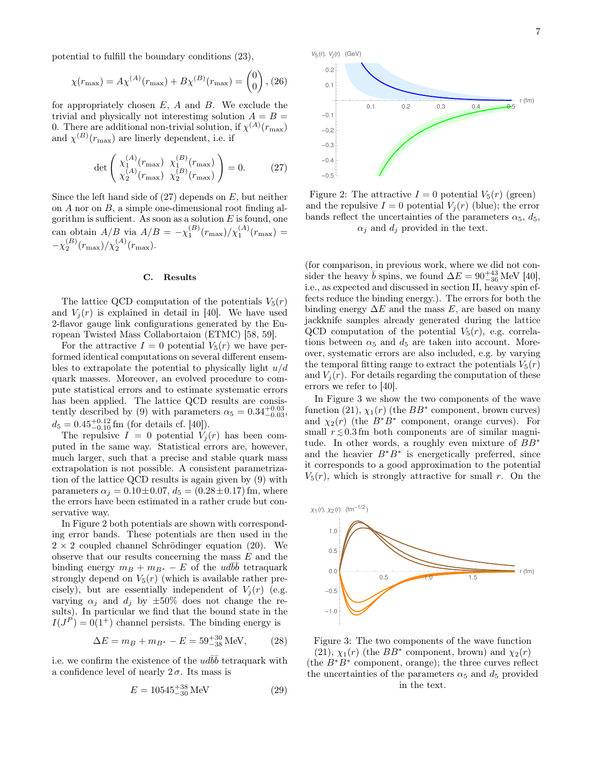7

potential to fulfill the boundary conditions (23),

$$
\chi(r_{\text{max}}) = A\chi^{(A)}(r_{\text{max}}) + B\chi^{(B)}(r_{\text{max}}) = \begin{pmatrix} 0 \\ 0 \end{pmatrix}, (26)
$$

for appropriately chosen  $E$ ,  $A$  and  $B$ . We exclude the trivial and physically not interestimg solution  $A = B =$ 0. There are additional non-trivial solution, if  $\chi^{(A)}(r_{\text{max}})$ and  $\chi^{(B)}(r_{\text{max}})$  are linerly dependent, i.e. if

$$
\det \begin{pmatrix} \chi_1^{(A)}(r_{\text{max}}) & \chi_1^{(B)}(r_{\text{max}}) \\ \chi_2^{(A)}(r_{\text{max}}) & \chi_2^{(B)}(r_{\text{max}}) \end{pmatrix} = 0.
$$
 (27)

Since the left hand side of  $(27)$  depends on E, but neither on A nor on B, a simple one-dimensional root finding algorithm is sufficient. As soon as a solution  $E$  is found, one can obtain  $A/B$  via  $A/B = -\chi_1^{(B)}(r_{\text{max}})/\chi_1^{(A)}(r_{\text{max}})$  =  $-\chi_2^{(B)}(r_{\text{max}})/\chi_2^{(A)}(r_{\text{max}}).$ 

#### C. Results

The lattice QCD computation of the potentials  $V_5(r)$ and  $V_i(r)$  is explained in detail in [40]. We have used 2-flavor gauge link configurations generated by the European Twisted Mass Collabortaion (ETMC) [58, 59].

For the attractive  $I = 0$  potential  $V_5(r)$  we have performed identical computations on several different ensembles to extrapolate the potential to physically light  $u/d$ quark masses. Moreover, an evolved procedure to compute statistical errors and to estimate systematic errors has been applied. The lattice QCD results are consistently described by (9) with parameters  $\alpha_5 = 0.34^{+0.03}_{-0.03}$ ,  $d_5 = 0.45_{-0.10}^{+0.12}$  fm (for details cf. [40]).

The repulsive  $I = 0$  potential  $V_j(r)$  has been computed in the same way. Statistical errors are, however, much larger, such that a precise and stable quark mass extrapolation is not possible. A consistent parametrization of the lattice QCD results is again given by (9) with parameters  $\alpha_j = 0.10 \pm 0.07$ ,  $d_5 = (0.28 \pm 0.17)$  fm, where the errors have been estimated in a rather crude but conservative way.

In Figure 2 both potentials are shown with corresponding error bands. These potentials are then used in the  $2 \times 2$  coupled channel Schrödinger equation (20). We observe that our results concerning the mass E and the binding energy  $m_B + m_{B^*} - E$  of the  $ud\overline{b}\overline{b}$  tetraquark strongly depend on  $V_5(r)$  (which is available rather precisely), but are essentially independent of  $V_i(r)$  (e.g. varying  $\alpha_j$  and  $d_j$  by  $\pm 50\%$  does not change the results). In particular we find that the bound state in the  $I(J^P) = 0(1^+)$  channel persists. The binding energy is

$$
\Delta E = m_B + m_{B^*} - E = 59^{+30}_{-38} \text{ MeV}, \quad (28)
$$

i.e. we confirm the existence of the  $ud\bar{b}\bar{b}$  tetraquark with a confidence level of nearly  $2\sigma$ . Its mass is

$$
E = 10545^{+38}_{-30} \,\text{MeV} \tag{29}
$$



Figure 2: The attractive  $I = 0$  potential  $V_5(r)$  (green) and the repulsive  $I = 0$  potential  $V_i(r)$  (blue); the error bands reflect the uncertainties of the parameters  $\alpha_5$ ,  $d_5$ ,  $\alpha_i$  and  $d_i$  provided in the text.

(for comparison, in previous work, where we did not consider the heavy  $\bar{b}$  spins, we found  $\Delta E = 90^{+43}_{-36}$  MeV [40], i.e., as expected and discussed in section II, heavy spin effects reduce the binding energy.). The errors for both the binding energy  $\Delta E$  and the mass E, are based on many jackknife samples already generated during the lattice QCD computation of the potential  $V_5(r)$ , e.g. correlations between  $\alpha_5$  and  $d_5$  are taken into account. Moreover, systematic errors are also included, e.g. by varying the temporal fitting range to extract the potentials  $V_5(r)$ and  $V_i(r)$ . For details regarding the computation of these errors we refer to [40].

In Figure 3 we show the two components of the wave function (21),  $\chi_1(r)$  (the  $BB^*$  component, brown curves) and  $\chi_2(r)$  (the  $B^*B^*$  component, orange curves). For small  $r \lesssim 0.3$  fm both components are of similar magnitude. In other words, a roughly even mixture of BB<sup>∗</sup> and the heavier  $B^*B^*$  is energetically preferred, since it corresponds to a good approximation to the potential  $V_5(r)$ , which is strongly attractive for small r. On the



Figure 3: The two components of the wave function (21),  $\chi_1(r)$  (the  $BB^*$  component, brown) and  $\chi_2(r)$ (the B<sup>∗</sup>B<sup>∗</sup> component, orange); the three curves reflect the uncertainties of the parameters  $\alpha_5$  and  $d_5$  provided in the text.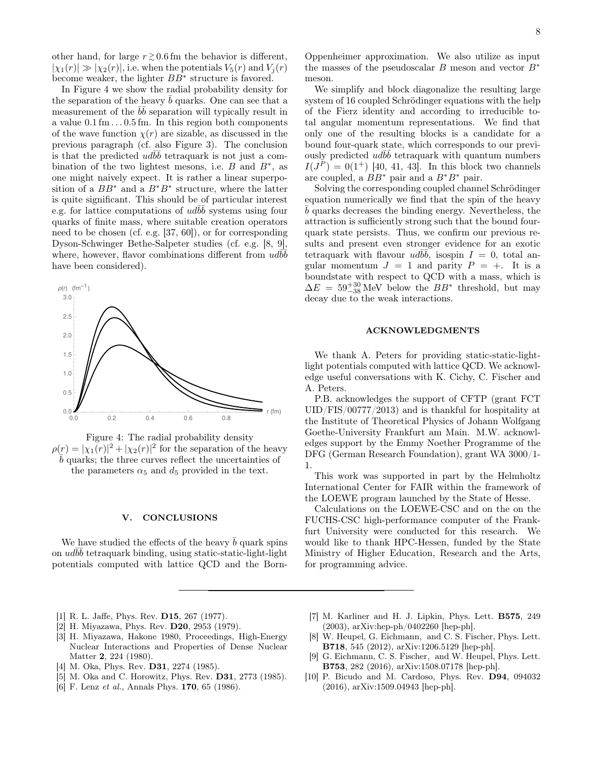other hand, for large  $r \gtrsim 0.6$  fm the behavior is different,  $|\chi_1(r)| \gg |\chi_2(r)|$ , i.e. when the potentials  $V_5(r)$  and  $V_i(r)$ become weaker, the lighter BB<sup>∗</sup> structure is favored.

In Figure 4 we show the radial probability density for the separation of the heavy  $b$  quarks. One can see that a measurement of the  $b\bar{b}$  separation will typically result in a value  $0.1 \,\mathrm{fm} \ldots 0.5 \,\mathrm{fm}$ . In this region both components of the wave function  $\chi(r)$  are sizable, as discussed in the previous paragraph (cf. also Figure 3). The conclusion is that the predicted  $ud\bar{b}\bar{b}$  tetraquark is not just a combination of the two lightest mesons, i.e.  $B$  and  $B^*$ , as one might naively expect. It is rather a linear superposition of a  $BB^*$  and a  $B^*B^*$  structure, where the latter is quite significant. This should be of particular interest e.g. for lattice computations of  $ud\overline{b}\overline{b}$  systems using four quarks of finite mass, where suitable creation operators need to be chosen (cf. e.g. [37, 60]), or for corresponding Dyson-Schwinger Bethe-Salpeter studies (cf. e.g. [8, 9], where, however, flavor combinations different from  $\overline{u}d\overline{b}\overline{b}$ have been considered).



Figure 4: The radial probability density  $\rho(r) = |\chi_1(r)|^2 + |\chi_2(r)|^2$  for the separation of the heavy  $\bar{b}$  quarks; the three curves reflect the uncertainties of the parameters  $\alpha_5$  and  $d_5$  provided in the text.

## V. CONCLUSIONS

We have studied the effects of the heavy  $\bar{b}$  quark spins on  $ud\bar{b}\bar{b}$  tetraquark binding, using static-static-light-light potentials computed with lattice QCD and the BornOppenheimer approximation. We also utilize as input the masses of the pseudoscalar B meson and vector  $B^*$ meson.

We simplify and block diagonalize the resulting large system of 16 coupled Schrödinger equations with the help of the Fierz identity and according to irreducible total angular momentum representations. We find that only one of the resulting blocks is a candidate for a bound four-quark state, which corresponds to our previously predicted  $ud\bar{b}\bar{b}$  tetraquark with quantum numbers  $I(J^{P}) = 0(1^{+})$  [40, 41, 43]. In this block two channels are coupled, a  $BB^*$  pair and a  $B^*B^*$  pair.

Solving the corresponding coupled channel Schrödinger equation numerically we find that the spin of the heavy  $\bar{b}$  quarks decreases the binding energy. Nevertheless, the attraction is sufficiently strong such that the bound fourquark state persists. Thus, we confirm our previous results and present even stronger evidence for an exotic tetraquark with flavour  $ud\overline{b}\overline{b}$ , isospin  $I = 0$ , total angular momentum  $J = 1$  and parity  $P = +$ . It is a boundstate with respect to QCD with a mass, which is  $\Delta E = 59^{+30}_{-38}$  MeV below the  $BB^*$  threshold, but may decay due to the weak interactions.

#### ACKNOWLEDGMENTS

We thank A. Peters for providing static-static-lightlight potentials computed with lattice QCD. We acknowledge useful conversations with K. Cichy, C. Fischer and A. Peters.

P.B. acknowledges the support of CFTP (grant FCT UID/FIS/00777/2013) and is thankful for hospitality at the Institute of Theoretical Physics of Johann Wolfgang Goethe-University Frankfurt am Main. M.W. acknowledges support by the Emmy Noether Programme of the DFG (German Research Foundation), grant WA 3000/1- 1.

This work was supported in part by the Helmholtz International Center for FAIR within the framework of the LOEWE program launched by the State of Hesse.

Calculations on the LOEWE-CSC and on the on the FUCHS-CSC high-performance computer of the Frankfurt University were conducted for this research. We would like to thank HPC-Hessen, funded by the State Ministry of Higher Education, Research and the Arts, for programming advice.

- [1] R. L. Jaffe, Phys. Rev. D15, 267 (1977).
- [2] H. Miyazawa, Phys. Rev. **D20**, 2953 (1979).
- [3] H. Miyazawa, Hakone 1980, Proceedings, High-Energy Nuclear Interactions and Properties of Dense Nuclear Matter 2, 224 (1980).
- [4] M. Oka, Phys. Rev. D31, 2274 (1985).
- [5] M. Oka and C. Horowitz, Phys. Rev. D31, 2773 (1985).
- [6] F. Lenz *et al.*, Annals Phys. **170**, 65 (1986).
- [7] M. Karliner and H. J. Lipkin, Phys. Lett. B575, 249 (2003), arXiv:hep-ph/0402260 [hep-ph].
- [8] W. Heupel, G. Eichmann, and C. S. Fischer, Phys. Lett. B718, 545 (2012), arXiv:1206.5129 [hep-ph].
- [9] G. Eichmann, C. S. Fischer, and W. Heupel, Phys. Lett. B753, 282 (2016), arXiv:1508.07178 [hep-ph].
- [10] P. Bicudo and M. Cardoso, Phys. Rev. D94, 094032 (2016), arXiv:1509.04943 [hep-ph].